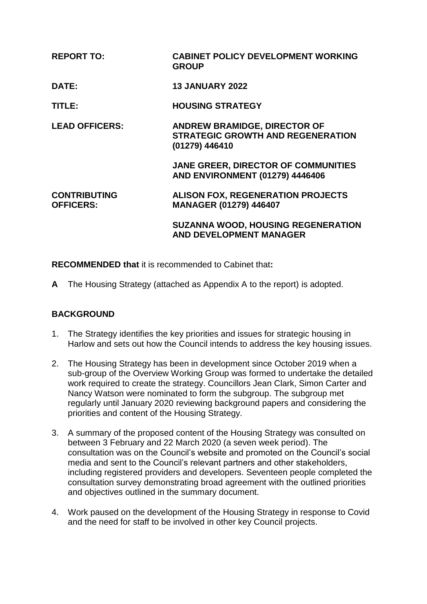| <b>REPORT TO:</b>                       | <b>CABINET POLICY DEVELOPMENT WORKING</b><br><b>GROUP</b>                                         |
|-----------------------------------------|---------------------------------------------------------------------------------------------------|
| DATE:                                   | <b>13 JANUARY 2022</b>                                                                            |
| TITLE:                                  | <b>HOUSING STRATEGY</b>                                                                           |
| <b>LEAD OFFICERS:</b>                   | <b>ANDREW BRAMIDGE, DIRECTOR OF</b><br><b>STRATEGIC GROWTH AND REGENERATION</b><br>(01279) 446410 |
|                                         | <b>JANE GREER, DIRECTOR OF COMMUNITIES</b><br><b>AND ENVIRONMENT (01279) 4446406</b>              |
| <b>CONTRIBUTING</b><br><b>OFFICERS:</b> | <b>ALISON FOX, REGENERATION PROJECTS</b><br><b>MANAGER (01279) 446407</b>                         |
|                                         | <b>SUZANNA WOOD, HOUSING REGENERATION</b><br><b>AND DEVELOPMENT MANAGER</b>                       |

**RECOMMENDED that** it is recommended to Cabinet that**:**

**A** The Housing Strategy (attached as Appendix A to the report) is adopted.

# **BACKGROUND**

- 1. The Strategy identifies the key priorities and issues for strategic housing in Harlow and sets out how the Council intends to address the key housing issues.
- 2. The Housing Strategy has been in development since October 2019 when a sub-group of the Overview Working Group was formed to undertake the detailed work required to create the strategy. Councillors Jean Clark, Simon Carter and Nancy Watson were nominated to form the subgroup. The subgroup met regularly until January 2020 reviewing background papers and considering the priorities and content of the Housing Strategy.
- 3. A summary of the proposed content of the Housing Strategy was consulted on between 3 February and 22 March 2020 (a seven week period). The consultation was on the Council's website and promoted on the Council's social media and sent to the Council's relevant partners and other stakeholders, including registered providers and developers. Seventeen people completed the consultation survey demonstrating broad agreement with the outlined priorities and objectives outlined in the summary document.
- 4. Work paused on the development of the Housing Strategy in response to Covid and the need for staff to be involved in other key Council projects.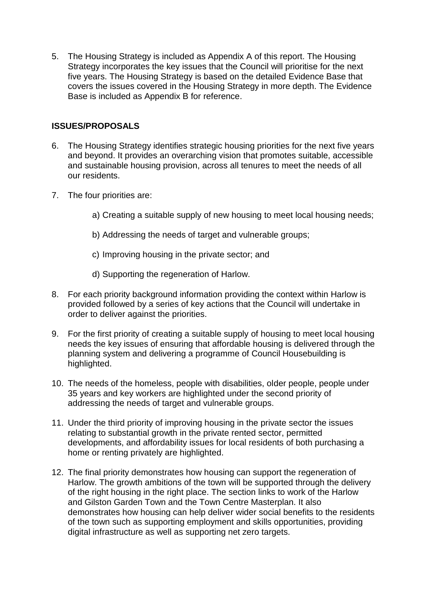5. The Housing Strategy is included as Appendix A of this report. The Housing Strategy incorporates the key issues that the Council will prioritise for the next five years. The Housing Strategy is based on the detailed Evidence Base that covers the issues covered in the Housing Strategy in more depth. The Evidence Base is included as Appendix B for reference.

## **ISSUES/PROPOSALS**

- 6. The Housing Strategy identifies strategic housing priorities for the next five years and beyond. It provides an overarching vision that promotes suitable, accessible and sustainable housing provision, across all tenures to meet the needs of all our residents.
- 7. The four priorities are:
	- a) Creating a suitable supply of new housing to meet local housing needs;
	- b) Addressing the needs of target and vulnerable groups;
	- c) Improving housing in the private sector; and
	- d) Supporting the regeneration of Harlow.
- 8. For each priority background information providing the context within Harlow is provided followed by a series of key actions that the Council will undertake in order to deliver against the priorities.
- 9. For the first priority of creating a suitable supply of housing to meet local housing needs the key issues of ensuring that affordable housing is delivered through the planning system and delivering a programme of Council Housebuilding is highlighted.
- 10. The needs of the homeless, people with disabilities, older people, people under 35 years and key workers are highlighted under the second priority of addressing the needs of target and vulnerable groups.
- 11. Under the third priority of improving housing in the private sector the issues relating to substantial growth in the private rented sector, permitted developments, and affordability issues for local residents of both purchasing a home or renting privately are highlighted.
- 12. The final priority demonstrates how housing can support the regeneration of Harlow. The growth ambitions of the town will be supported through the delivery of the right housing in the right place. The section links to work of the Harlow and Gilston Garden Town and the Town Centre Masterplan. It also demonstrates how housing can help deliver wider social benefits to the residents of the town such as supporting employment and skills opportunities, providing digital infrastructure as well as supporting net zero targets.